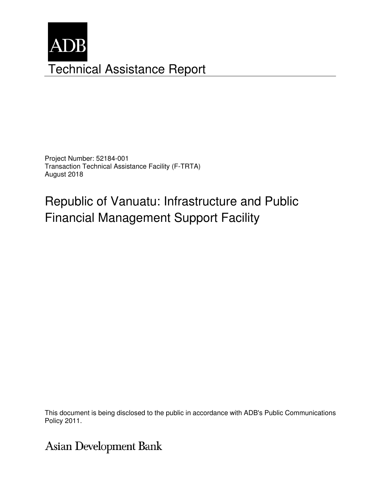

Project Number: 52184-001 Transaction Technical Assistance Facility (F-TRTA) August 2018

# Republic of Vanuatu: Infrastructure and Public Financial Management Support Facility

This document is being disclosed to the public in accordance with ADB's Public Communications Policy 2011.

Asian Development Bank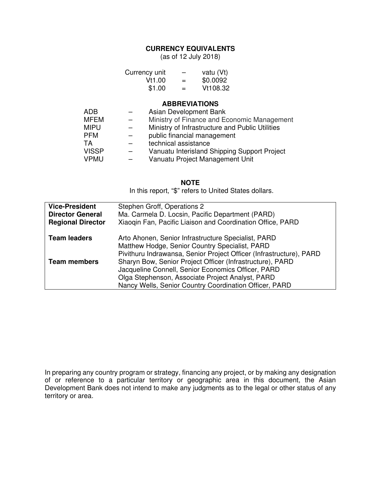### **CURRENCY EQUIVALENTS**

(as of 12 July 2018)

| Currency unit |     | vatu (Vt) |
|---------------|-----|-----------|
| Vt1.00        | $=$ | \$0.0092  |
| \$1.00        | $=$ | Vt108.32  |

#### **ABBREVIATIONS**

| <b>ADB</b>   | Asian Development Bank                          |
|--------------|-------------------------------------------------|
| <b>MFEM</b>  | Ministry of Finance and Economic Management     |
| <b>MIPU</b>  | Ministry of Infrastructure and Public Utilities |
| <b>PFM</b>   | public financial management                     |
| ТA           | technical assistance                            |
| <b>VISSP</b> | Vanuatu Interisland Shipping Support Project    |
| <b>VPMU</b>  | Vanuatu Project Management Unit                 |

#### **NOTE**

In this report, "\$" refers to United States dollars.

| <b>Vice-President</b>    | Stephen Groff, Operations 2                                         |
|--------------------------|---------------------------------------------------------------------|
| <b>Director General</b>  | Ma. Carmela D. Locsin, Pacific Department (PARD)                    |
| <b>Regional Director</b> | Xiaogin Fan, Pacific Liaison and Coordination Office, PARD          |
|                          |                                                                     |
| <b>Team leaders</b>      | Arto Ahonen, Senior Infrastructure Specialist, PARD                 |
|                          | Matthew Hodge, Senior Country Specialist, PARD                      |
|                          | Pivithuru Indrawansa, Senior Project Officer (Infrastructure), PARD |
| <b>Team members</b>      | Sharyn Bow, Senior Project Officer (Infrastructure), PARD           |
|                          | Jacqueline Connell, Senior Economics Officer, PARD                  |
|                          | Olga Stephenson, Associate Project Analyst, PARD                    |
|                          | Nancy Wells, Senior Country Coordination Officer, PARD              |

In preparing any country program or strategy, financing any project, or by making any designation of or reference to a particular territory or geographic area in this document, the Asian Development Bank does not intend to make any judgments as to the legal or other status of any territory or area.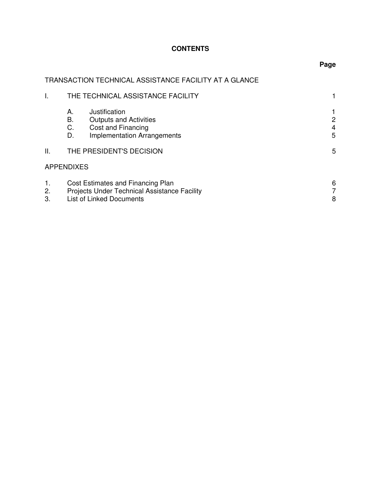## **CONTENTS**

## TRANSACTION TECHNICAL ASSISTANCE FACILITY AT A GLANCE

|                | THE TECHNICAL ASSISTANCE FACILITY                                                                                                  |             |
|----------------|------------------------------------------------------------------------------------------------------------------------------------|-------------|
|                | Justification<br>А.<br><b>Outputs and Activities</b><br>В.<br>Cost and Financing<br>C.<br><b>Implementation Arrangements</b><br>D. | 2<br>4<br>5 |
| ΙΙ.            | THE PRESIDENT'S DECISION                                                                                                           | 5           |
|                | <b>APPENDIXES</b>                                                                                                                  |             |
| 1.<br>2.<br>3. | Cost Estimates and Financing Plan<br>Projects Under Technical Assistance Facility<br><b>List of Linked Documents</b>               | 6<br>8      |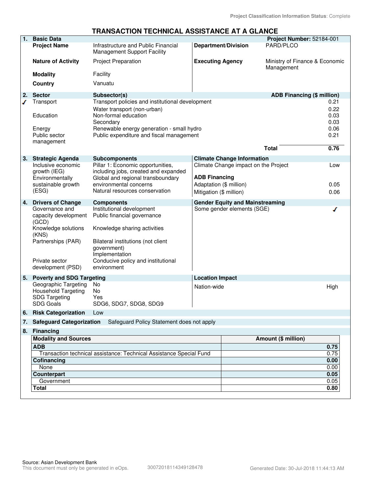#### **TRANSACTION TECHNICAL ASSISTANCE AT A GLANCE**

| 1. | <b>Basic Data</b>                                                                              |                                                                                                                          |                         |                                        | Project Number: 52184-001                    |              |
|----|------------------------------------------------------------------------------------------------|--------------------------------------------------------------------------------------------------------------------------|-------------------------|----------------------------------------|----------------------------------------------|--------------|
|    | <b>Project Name</b>                                                                            | Infrastructure and Public Financial<br>Management Support Facility                                                       |                         | <b>Department/Division</b>             | PARD/PLCO                                    |              |
|    | <b>Nature of Activity</b>                                                                      | <b>Project Preparation</b>                                                                                               | <b>Executing Agency</b> |                                        | Ministry of Finance & Economic<br>Management |              |
|    | <b>Modality</b>                                                                                | Facility                                                                                                                 |                         |                                        |                                              |              |
|    | <b>Country</b>                                                                                 | Vanuatu                                                                                                                  |                         |                                        |                                              |              |
| 2. | <b>Sector</b>                                                                                  | Subsector(s)                                                                                                             |                         |                                        | <b>ADB Financing (\$ million)</b>            |              |
|    | Transport                                                                                      | Transport policies and institutional development<br>Water transport (non-urban)                                          |                         |                                        |                                              | 0.21<br>0.22 |
|    | Education                                                                                      | Non-formal education<br>Secondary                                                                                        |                         |                                        |                                              | 0.03<br>0.03 |
|    | Energy                                                                                         | Renewable energy generation - small hydro                                                                                |                         |                                        |                                              | 0.06         |
|    | Public sector                                                                                  | Public expenditure and fiscal management                                                                                 |                         |                                        |                                              | 0.21         |
|    | management                                                                                     |                                                                                                                          |                         |                                        | <b>Total</b>                                 | 0.76         |
| 3. | <b>Strategic Agenda</b>                                                                        | <b>Subcomponents</b>                                                                                                     |                         | <b>Climate Change Information</b>      |                                              |              |
|    | Inclusive economic<br>growth (IEG)<br>Environmentally                                          | Pillar 1: Economic opportunities,<br>including jobs, created and expanded<br>Global and regional transboundary           | <b>ADB Financing</b>    | Climate Change impact on the Project   |                                              | Low          |
|    | sustainable growth                                                                             | environmental concerns                                                                                                   | Adaptation (\$ million) |                                        |                                              | 0.05         |
|    | (ESG)                                                                                          | Natural resources conservation                                                                                           | Mitigation (\$ million) |                                        |                                              | 0.06         |
| 4. | <b>Drivers of Change</b>                                                                       | <b>Components</b>                                                                                                        |                         | <b>Gender Equity and Mainstreaming</b> |                                              |              |
|    | Governance and<br>capacity development<br>(GCD)<br>Knowledge solutions<br>(KNS)                | Institutional development<br>Public financial governance<br>Knowledge sharing activities                                 |                         | Some gender elements (SGE)             |                                              |              |
|    | Partnerships (PAR)<br>Private sector<br>development (PSD)                                      | Bilateral institutions (not client<br>government)<br>Implementation<br>Conducive policy and institutional<br>environment |                         |                                        |                                              |              |
| 5. | <b>Poverty and SDG Targeting</b>                                                               |                                                                                                                          | <b>Location Impact</b>  |                                        |                                              |              |
|    | Geographic Targeting<br><b>Household Targeting</b><br><b>SDG Targeting</b><br><b>SDG Goals</b> | No<br>No<br>Yes<br>SDG6, SDG7, SDG8, SDG9                                                                                | Nation-wide             |                                        |                                              | High         |
| 6. | <b>Risk Categorization</b>                                                                     | Low                                                                                                                      |                         |                                        |                                              |              |
|    | 7. Safeguard Categorization                                                                    | Safeguard Policy Statement does not apply                                                                                |                         |                                        |                                              |              |
| 8. | <b>Financing</b>                                                                               |                                                                                                                          |                         |                                        |                                              |              |
|    | <b>Modality and Sources</b>                                                                    |                                                                                                                          |                         |                                        | Amount (\$ million)                          |              |
|    | <b>ADB</b>                                                                                     |                                                                                                                          |                         |                                        |                                              | 0.75         |
|    | Cofinancing                                                                                    | Transaction technical assistance: Technical Assistance Special Fund                                                      |                         |                                        |                                              | 0.75<br>0.00 |
|    | None                                                                                           |                                                                                                                          |                         |                                        |                                              | 0.00         |
|    | Counterpart                                                                                    |                                                                                                                          |                         |                                        |                                              | 0.05         |
|    | Government                                                                                     |                                                                                                                          |                         |                                        |                                              | 0.05         |
|    | Total                                                                                          |                                                                                                                          |                         |                                        |                                              | 0.80         |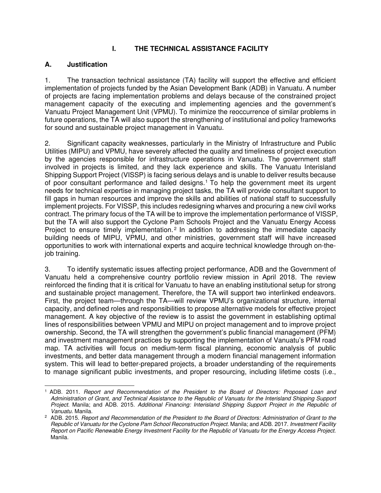## **I. THE TECHNICAL ASSISTANCE FACILITY**

## **A. Justification**

1. The transaction technical assistance (TA) facility will support the effective and efficient implementation of projects funded by the Asian Development Bank (ADB) in Vanuatu. A number of projects are facing implementation problems and delays because of the constrained project management capacity of the executing and implementing agencies and the government's Vanuatu Project Management Unit (VPMU). To minimize the reoccurrence of similar problems in future operations, the TA will also support the strengthening of institutional and policy frameworks for sound and sustainable project management in Vanuatu.

2. Significant capacity weaknesses, particularly in the Ministry of Infrastructure and Public Utilities (MIPU) and VPMU, have severely affected the quality and timeliness of project execution by the agencies responsible for infrastructure operations in Vanuatu. The government staff involved in projects is limited, and they lack experience and skills. The Vanuatu Interisland Shipping Support Project (VISSP) is facing serious delays and is unable to deliver results because of poor consultant performance and failed designs.<sup>1</sup> To help the government meet its urgent needs for technical expertise in managing project tasks, the TA will provide consultant support to fill gaps in human resources and improve the skills and abilities of national staff to successfully implement projects. For VISSP, this includes redesigning wharves and procuring a new civil works contract. The primary focus of the TA will be to improve the implementation performance of VISSP, but the TA will also support the Cyclone Pam Schools Project and the Vanuatu Energy Access Project to ensure timely implementation.<sup>2</sup> In addition to addressing the immediate capacity building needs of MIPU, VPMU, and other ministries, government staff will have increased opportunities to work with international experts and acquire technical knowledge through on-thejob training.

3. To identify systematic issues affecting project performance, ADB and the Government of Vanuatu held a comprehensive country portfolio review mission in April 2018. The review reinforced the finding that it is critical for Vanuatu to have an enabling institutional setup for strong and sustainable project management. Therefore, the TA will support two interlinked endeavors. First, the project team—through the TA—will review VPMU's organizational structure, internal capacity, and defined roles and responsibilities to propose alternative models for effective project management. A key objective of the review is to assist the government in establishing optimal lines of responsibilities between VPMU and MIPU on project management and to improve project ownership. Second, the TA will strengthen the government's public financial management (PFM) and investment management practices by supporting the implementation of Vanuatu's PFM road map. TA activities will focus on medium-term fiscal planning, economic analysis of public investments, and better data management through a modern financial management information system. This will lead to better-prepared projects, a broader understanding of the requirements to manage significant public investments, and proper resourcing, including lifetime costs (i.e.,

 $\overline{a}$ 1 ADB. 2011. *Report and Recommendation of the President to the Board of Directors: Proposed Loan and Administration of Grant, and Technical Assistance to the Republic of Vanuatu for the Interisland Shipping Support Project.* Manila; and ADB. 2015. *Additional Financing: Interisland Shipping Support Project in the Republic of Vanuatu.* Manila.

<sup>2</sup> ADB. 2015. *Report and Recommendation of the President to the Board of Directors: Administration of Grant to the Republic of Vanuatu for the Cyclone Pam School Reconstruction Project.* Manila; and ADB. 2017. *Investment Facility Report on Pacific Renewable Energy Investment Facility for the Republic of Vanuatu for the Energy Access Project.* Manila.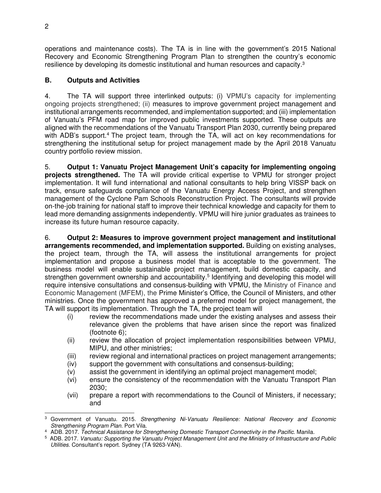operations and maintenance costs). The TA is in line with the government's 2015 National Recovery and Economic Strengthening Program Plan to strengthen the country's economic resilience by developing its domestic institutional and human resources and capacity.<sup>3</sup>

## **B. Outputs and Activities**

4. The TA will support three interlinked outputs: (i) VPMU's capacity for implementing ongoing projects strengthened; (ii) measures to improve government project management and institutional arrangements recommended, and implementation supported; and (iii) implementation of Vanuatu's PFM road map for improved public investments supported. These outputs are aligned with the recommendations of the Vanuatu Transport Plan 2030, currently being prepared with ADB's support.<sup>4</sup> The project team, through the TA, will act on key recommendations for strengthening the institutional setup for project management made by the April 2018 Vanuatu country portfolio review mission.

5. **Output 1: Vanuatu Project Management Unit's capacity for implementing ongoing projects strengthened.** The TA will provide critical expertise to VPMU for stronger project implementation. It will fund international and national consultants to help bring VISSP back on track, ensure safeguards compliance of the Vanuatu Energy Access Project, and strengthen management of the Cyclone Pam Schools Reconstruction Project. The consultants will provide on-the-job training for national staff to improve their technical knowledge and capacity for them to lead more demanding assignments independently. VPMU will hire junior graduates as trainees to increase its future human resource capacity.

6. **Output 2: Measures to improve government project management and institutional arrangements recommended, and implementation supported.** Building on existing analyses, the project team, through the TA, will assess the institutional arrangements for project implementation and propose a business model that is acceptable to the government. The business model will enable sustainable project management, build domestic capacity, and strengthen government ownership and accountability.<sup>5</sup> Identifying and developing this model will require intensive consultations and consensus-building with VPMU, the Ministry of Finance and Economic Management (MFEM), the Prime Minister's Office, the Council of Ministers, and other ministries. Once the government has approved a preferred model for project management, the TA will support its implementation. Through the TA, the project team will

- (i) review the recommendations made under the existing analyses and assess their relevance given the problems that have arisen since the report was finalized (footnote 6);
- (ii) review the allocation of project implementation responsibilities between VPMU, MIPU, and other ministries;
- (iii) review regional and international practices on project management arrangements;
- (iv) support the government with consultations and consensus-building;
- (v) assist the government in identifying an optimal project management model;
- (vi) ensure the consistency of the recommendation with the Vanuatu Transport Plan 2030;
- (vii) prepare a report with recommendations to the Council of Ministers, if necessary; and

 $\overline{a}$ 3 Government of Vanuatu. 2015. *Strengthening Ni-Vanuatu Resilience: National Recovery and Economic Strengthening Program Plan.* Port Vila.

<sup>4</sup> ADB. 2017. *Technical Assistance for Strengthening Domestic Transport Connectivity in the Pacific.* Manila.

<sup>5</sup> ADB. 2017. *Vanuatu: Supporting the Vanuatu Project Management Unit and the Ministry of Infrastructure and Public Utilities.* Consultant's report. Sydney (TA 9263-VAN).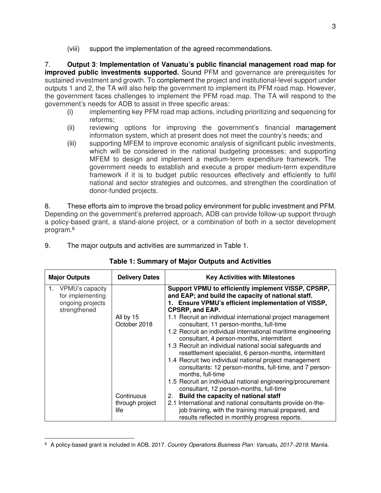(viii) support the implementation of the agreed recommendations.

7. **Output 3**: **Implementation of Vanuatu's public financial management road map for improved public investments supported.** Sound PFM and governance are prerequisites for sustained investment and growth. To complement the project and institutional-level support under outputs 1 and 2, the TA will also help the government to implement its PFM road map. However, the government faces challenges to implement the PFM road map. The TA will respond to the government's needs for ADB to assist in three specific areas:

- (i) implementing key PFM road map actions, including prioritizing and sequencing for reforms;
- (ii) reviewing options for improving the government's financial management information system, which at present does not meet the country's needs; and
- (iii) supporting MFEM to improve economic analysis of significant public investments, which will be considered in the national budgeting processes; and supporting MFEM to design and implement a medium-term expenditure framework. The government needs to establish and execute a proper medium-term expenditure framework if it is to budget public resources effectively and efficiently to fulfil national and sector strategies and outcomes, and strengthen the coordination of donor-funded projects.

8. These efforts aim to improve the broad policy environment for public investment and PFM. Depending on the government's preferred approach, ADB can provide follow-up support through a policy-based grant, a stand-alone project, or a combination of both in a sector development program.<sup>6</sup>

| 9. |  | The major outputs and activities are summarized in Table 1. |  |
|----|--|-------------------------------------------------------------|--|
|    |  |                                                             |  |

| <b>Major Outputs</b>                                                          | <b>Delivery Dates</b>                   | <b>Key Activities with Milestones</b>                                                                                                                                                                                                                                                                                                                                                                                                                                                                                                                                                                                                                                                                                                                                                                                                   |
|-------------------------------------------------------------------------------|-----------------------------------------|-----------------------------------------------------------------------------------------------------------------------------------------------------------------------------------------------------------------------------------------------------------------------------------------------------------------------------------------------------------------------------------------------------------------------------------------------------------------------------------------------------------------------------------------------------------------------------------------------------------------------------------------------------------------------------------------------------------------------------------------------------------------------------------------------------------------------------------------|
| VPMU's capacity<br>1.<br>for implementing<br>ongoing projects<br>strengthened | All by 15<br>October 2018<br>Continuous | Support VPMU to efficiently implement VISSP, CPSRP,<br>and EAP; and build the capacity of national staff.<br>1. Ensure VPMU's efficient implementation of VISSP,<br><b>CPSRP, and EAP.</b><br>1.1 Recruit an individual international project management<br>consultant, 11 person-months, full-time<br>1.2 Recruit an individual international maritime engineering<br>consultant, 4 person-months, intermittent<br>1.3 Recruit an individual national social safeguards and<br>resettlement specialist, 6 person-months, intermittent<br>1.4 Recruit two individual national project management<br>consultants: 12 person-months, full-time, and 7 person-<br>months, full-time<br>1.5 Recruit an individual national engineering/procurement<br>consultant, 12 person-months, full-time<br>Build the capacity of national staff<br>2. |
|                                                                               | through project<br>life                 | 2.1 International and national consultants provide on-the-<br>job training, with the training manual prepared, and<br>results reflected in monthly progress reports.                                                                                                                                                                                                                                                                                                                                                                                                                                                                                                                                                                                                                                                                    |

#### **Table 1: Summary of Major Outputs and Activities**

<sup>-</sup>6 A policy-based grant is included in ADB. 2017. *Country Operations Business Plan: Vanuatu, 20172019.* Manila.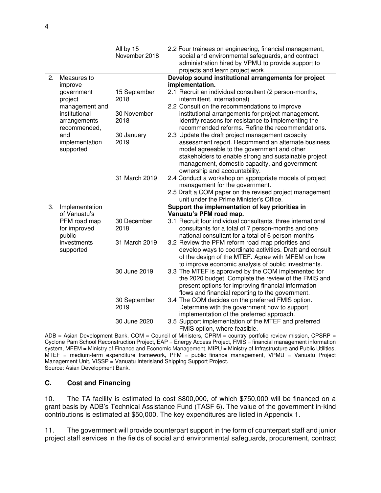|    |                                                                                                      | All by 15                                                                                     | 2.2 Four trainees on engineering, financial management,                                                                                                                                                                                                                                                                                                                                                                                                                                                                                                                                                                                                                                                                                                                                                                                                                                                                                                                                                               |
|----|------------------------------------------------------------------------------------------------------|-----------------------------------------------------------------------------------------------|-----------------------------------------------------------------------------------------------------------------------------------------------------------------------------------------------------------------------------------------------------------------------------------------------------------------------------------------------------------------------------------------------------------------------------------------------------------------------------------------------------------------------------------------------------------------------------------------------------------------------------------------------------------------------------------------------------------------------------------------------------------------------------------------------------------------------------------------------------------------------------------------------------------------------------------------------------------------------------------------------------------------------|
|    |                                                                                                      | November 2018                                                                                 | social and environmental safeguards, and contract                                                                                                                                                                                                                                                                                                                                                                                                                                                                                                                                                                                                                                                                                                                                                                                                                                                                                                                                                                     |
|    |                                                                                                      |                                                                                               | administration hired by VPMU to provide support to                                                                                                                                                                                                                                                                                                                                                                                                                                                                                                                                                                                                                                                                                                                                                                                                                                                                                                                                                                    |
|    |                                                                                                      |                                                                                               | projects and learn project work.                                                                                                                                                                                                                                                                                                                                                                                                                                                                                                                                                                                                                                                                                                                                                                                                                                                                                                                                                                                      |
| 2. | Measures to                                                                                          |                                                                                               | Develop sound institutional arrangements for project                                                                                                                                                                                                                                                                                                                                                                                                                                                                                                                                                                                                                                                                                                                                                                                                                                                                                                                                                                  |
|    | improve                                                                                              |                                                                                               | implementation.                                                                                                                                                                                                                                                                                                                                                                                                                                                                                                                                                                                                                                                                                                                                                                                                                                                                                                                                                                                                       |
|    | government                                                                                           | 15 September                                                                                  | 2.1 Recruit an individual consultant (2 person-months,                                                                                                                                                                                                                                                                                                                                                                                                                                                                                                                                                                                                                                                                                                                                                                                                                                                                                                                                                                |
|    | project                                                                                              | 2018                                                                                          | intermittent, international)                                                                                                                                                                                                                                                                                                                                                                                                                                                                                                                                                                                                                                                                                                                                                                                                                                                                                                                                                                                          |
|    | management and                                                                                       |                                                                                               | 2.2 Consult on the recommendations to improve                                                                                                                                                                                                                                                                                                                                                                                                                                                                                                                                                                                                                                                                                                                                                                                                                                                                                                                                                                         |
|    | institutional                                                                                        | 30 November                                                                                   | institutional arrangements for project management.                                                                                                                                                                                                                                                                                                                                                                                                                                                                                                                                                                                                                                                                                                                                                                                                                                                                                                                                                                    |
|    | arrangements                                                                                         | 2018                                                                                          | Identify reasons for resistance to implementing the                                                                                                                                                                                                                                                                                                                                                                                                                                                                                                                                                                                                                                                                                                                                                                                                                                                                                                                                                                   |
|    | recommended,                                                                                         |                                                                                               | recommended reforms. Refine the recommendations.                                                                                                                                                                                                                                                                                                                                                                                                                                                                                                                                                                                                                                                                                                                                                                                                                                                                                                                                                                      |
|    | and                                                                                                  | 30 January                                                                                    | 2.3 Update the draft project management capacity                                                                                                                                                                                                                                                                                                                                                                                                                                                                                                                                                                                                                                                                                                                                                                                                                                                                                                                                                                      |
|    | implementation                                                                                       | 2019                                                                                          | assessment report. Recommend an alternate business                                                                                                                                                                                                                                                                                                                                                                                                                                                                                                                                                                                                                                                                                                                                                                                                                                                                                                                                                                    |
|    | supported                                                                                            |                                                                                               | model agreeable to the government and other                                                                                                                                                                                                                                                                                                                                                                                                                                                                                                                                                                                                                                                                                                                                                                                                                                                                                                                                                                           |
|    |                                                                                                      |                                                                                               | stakeholders to enable strong and sustainable project                                                                                                                                                                                                                                                                                                                                                                                                                                                                                                                                                                                                                                                                                                                                                                                                                                                                                                                                                                 |
|    |                                                                                                      |                                                                                               | management, domestic capacity, and government                                                                                                                                                                                                                                                                                                                                                                                                                                                                                                                                                                                                                                                                                                                                                                                                                                                                                                                                                                         |
|    |                                                                                                      |                                                                                               | ownership and accountability.                                                                                                                                                                                                                                                                                                                                                                                                                                                                                                                                                                                                                                                                                                                                                                                                                                                                                                                                                                                         |
|    |                                                                                                      |                                                                                               |                                                                                                                                                                                                                                                                                                                                                                                                                                                                                                                                                                                                                                                                                                                                                                                                                                                                                                                                                                                                                       |
|    |                                                                                                      |                                                                                               |                                                                                                                                                                                                                                                                                                                                                                                                                                                                                                                                                                                                                                                                                                                                                                                                                                                                                                                                                                                                                       |
|    |                                                                                                      |                                                                                               |                                                                                                                                                                                                                                                                                                                                                                                                                                                                                                                                                                                                                                                                                                                                                                                                                                                                                                                                                                                                                       |
|    |                                                                                                      |                                                                                               |                                                                                                                                                                                                                                                                                                                                                                                                                                                                                                                                                                                                                                                                                                                                                                                                                                                                                                                                                                                                                       |
|    |                                                                                                      |                                                                                               |                                                                                                                                                                                                                                                                                                                                                                                                                                                                                                                                                                                                                                                                                                                                                                                                                                                                                                                                                                                                                       |
|    |                                                                                                      |                                                                                               |                                                                                                                                                                                                                                                                                                                                                                                                                                                                                                                                                                                                                                                                                                                                                                                                                                                                                                                                                                                                                       |
|    |                                                                                                      |                                                                                               |                                                                                                                                                                                                                                                                                                                                                                                                                                                                                                                                                                                                                                                                                                                                                                                                                                                                                                                                                                                                                       |
|    |                                                                                                      |                                                                                               |                                                                                                                                                                                                                                                                                                                                                                                                                                                                                                                                                                                                                                                                                                                                                                                                                                                                                                                                                                                                                       |
|    |                                                                                                      |                                                                                               |                                                                                                                                                                                                                                                                                                                                                                                                                                                                                                                                                                                                                                                                                                                                                                                                                                                                                                                                                                                                                       |
|    |                                                                                                      |                                                                                               |                                                                                                                                                                                                                                                                                                                                                                                                                                                                                                                                                                                                                                                                                                                                                                                                                                                                                                                                                                                                                       |
|    |                                                                                                      |                                                                                               |                                                                                                                                                                                                                                                                                                                                                                                                                                                                                                                                                                                                                                                                                                                                                                                                                                                                                                                                                                                                                       |
|    |                                                                                                      |                                                                                               |                                                                                                                                                                                                                                                                                                                                                                                                                                                                                                                                                                                                                                                                                                                                                                                                                                                                                                                                                                                                                       |
|    |                                                                                                      |                                                                                               |                                                                                                                                                                                                                                                                                                                                                                                                                                                                                                                                                                                                                                                                                                                                                                                                                                                                                                                                                                                                                       |
|    |                                                                                                      |                                                                                               |                                                                                                                                                                                                                                                                                                                                                                                                                                                                                                                                                                                                                                                                                                                                                                                                                                                                                                                                                                                                                       |
|    |                                                                                                      |                                                                                               |                                                                                                                                                                                                                                                                                                                                                                                                                                                                                                                                                                                                                                                                                                                                                                                                                                                                                                                                                                                                                       |
|    |                                                                                                      |                                                                                               |                                                                                                                                                                                                                                                                                                                                                                                                                                                                                                                                                                                                                                                                                                                                                                                                                                                                                                                                                                                                                       |
|    |                                                                                                      |                                                                                               |                                                                                                                                                                                                                                                                                                                                                                                                                                                                                                                                                                                                                                                                                                                                                                                                                                                                                                                                                                                                                       |
|    |                                                                                                      |                                                                                               |                                                                                                                                                                                                                                                                                                                                                                                                                                                                                                                                                                                                                                                                                                                                                                                                                                                                                                                                                                                                                       |
|    |                                                                                                      |                                                                                               |                                                                                                                                                                                                                                                                                                                                                                                                                                                                                                                                                                                                                                                                                                                                                                                                                                                                                                                                                                                                                       |
|    |                                                                                                      |                                                                                               |                                                                                                                                                                                                                                                                                                                                                                                                                                                                                                                                                                                                                                                                                                                                                                                                                                                                                                                                                                                                                       |
|    |                                                                                                      | 30 June 2020                                                                                  | implementation of the preferred approach.<br>3.5 Support implementation of the MTEF and preferred                                                                                                                                                                                                                                                                                                                                                                                                                                                                                                                                                                                                                                                                                                                                                                                                                                                                                                                     |
| 3. | Implementation<br>of Vanuatu's<br>PFM road map<br>for improved<br>public<br>investments<br>supported | 31 March 2019<br>30 December<br>2018<br>31 March 2019<br>30 June 2019<br>30 September<br>2019 | 2.4 Conduct a workshop on appropriate models of project<br>management for the government.<br>2.5 Draft a COM paper on the revised project management<br>unit under the Prime Minister's Office.<br>Support the implementation of key priorities in<br>Vanuatu's PFM road map.<br>3.1 Recruit four individual consultants, three international<br>consultants for a total of 7 person-months and one<br>national consultant for a total of 6 person-months<br>3.2 Review the PFM reform road map priorities and<br>develop ways to coordinate activities. Draft and consult<br>of the design of the MTEF. Agree with MFEM on how<br>to improve economic analysis of public investments.<br>3.3 The MTEF is approved by the COM implemented for<br>the 2020 budget. Complete the review of the FMIS and<br>present options for improving financial information<br>flows and financial reporting to the government.<br>3.4 The COM decides on the preferred FMIS option.<br>Determine with the government how to support |

ADB = Asian Development Bank, COM = Council of Ministers, CPRM = country portfolio review mission, CPSRP = Cyclone Pam School Reconstruction Project, EAP = Energy Access Project, FMIS = financial management information system, MFEM = Ministry of Finance and Economic Management, MIPU = Ministry of Infrastructure and Public Utilities, MTEF = medium-term expenditure framework,  $PFM =$  public finance management, VPMU = Vanuatu Project Management Unit, VISSP = Vanuatu Interisland Shipping Support Project. Source: Asian Development Bank.

#### **C. Cost and Financing**

10. The TA facility is estimated to cost \$800,000, of which \$750,000 will be financed on a grant basis by ADB's Technical Assistance Fund (TASF 6). The value of the government in-kind contributions is estimated at \$50,000. The key expenditures are listed in Appendix 1.

11. The government will provide counterpart support in the form of counterpart staff and junior project staff services in the fields of social and environmental safeguards, procurement, contract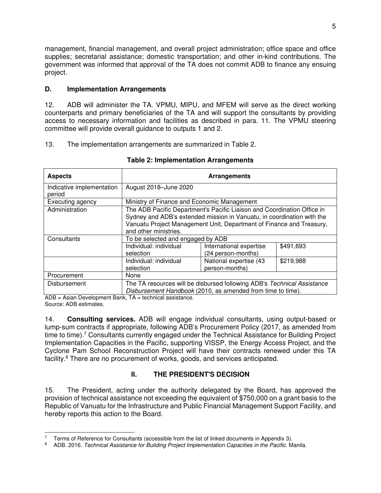management, financial management, and overall project administration; office space and office supplies; secretarial assistance; domestic transportation; and other in-kind contributions. The government was informed that approval of the TA does not commit ADB to finance any ensuing project.

## **D. Implementation Arrangements**

12. ADB will administer the TA. VPMU, MIPU, and MFEM will serve as the direct working counterparts and primary beneficiaries of the TA and will support the consultants by providing access to necessary information and facilities as described in para. 11. The VPMU steering committee will provide overall guidance to outputs 1 and 2.

13. The implementation arrangements are summarized in Table 2.

| <b>Aspects</b>                      | <b>Arrangements</b>                                                                                                                                                                                                                                |                                               |           |  |
|-------------------------------------|----------------------------------------------------------------------------------------------------------------------------------------------------------------------------------------------------------------------------------------------------|-----------------------------------------------|-----------|--|
| Indicative implementation<br>period | August 2018-June 2020                                                                                                                                                                                                                              |                                               |           |  |
| Executing agency                    | Ministry of Finance and Economic Management                                                                                                                                                                                                        |                                               |           |  |
| Administration                      | The ADB Pacific Department's Pacific Liaison and Coordination Office in<br>Sydney and ADB's extended mission in Vanuatu, in coordination with the<br>Vanuatu Project Management Unit, Department of Finance and Treasury,<br>and other ministries. |                                               |           |  |
| Consultants                         | To be selected and engaged by ADB                                                                                                                                                                                                                  |                                               |           |  |
|                                     | Individual: individual<br>selection                                                                                                                                                                                                                | International expertise<br>(24 person-months) | \$491,693 |  |
|                                     | Individual: individual<br>selection                                                                                                                                                                                                                | National expertise (43<br>person-months)      | \$219,988 |  |
| Procurement                         | None                                                                                                                                                                                                                                               |                                               |           |  |
| Disbursement                        | The TA resources will be disbursed following ADB's Technical Assistance<br>Disbursement Handbook (2010, as amended from time to time).                                                                                                             |                                               |           |  |

#### **Table 2: Implementation Arrangements**

ADB = Asian Development Bank, TA = technical assistance. Source: ADB estimates.

14. **Consulting services.** ADB will engage individual consultants, using output-based or lump-sum contracts if appropriate, following ADB's Procurement Policy (2017, as amended from time to time).<sup>7</sup> Consultants currently engaged under the Technical Assistance for Building Project Implementation Capacities in the Pacific, supporting VISSP, the Energy Access Project, and the Cyclone Pam School Reconstruction Project will have their contracts renewed under this TA facility.<sup>8</sup> There are no procurement of works, goods, and services anticipated.

## **II. THE PRESIDENT'S DECISION**

15. The President, acting under the authority delegated by the Board, has approved the provision of technical assistance not exceeding the equivalent of \$750,000 on a grant basis to the Republic of Vanuatu for the Infrastructure and Public Financial Management Support Facility, and hereby reports this action to the Board.

<sup>-</sup>7 Terms of Reference for Consultants (accessible from the list of linked documents in Appendix 3).

<sup>8</sup> ADB. 2016. *Technical Assistance for Building Project Implementation Capacities in the Pacific.* Manila.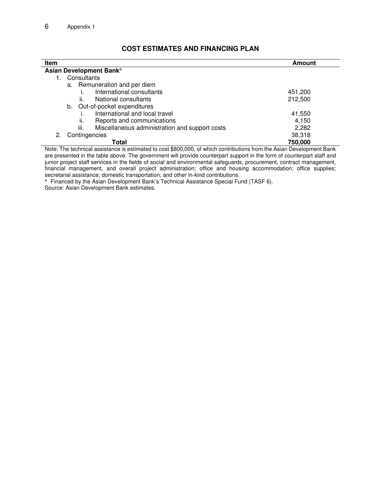| <b>Item</b>                                            | Amount  |
|--------------------------------------------------------|---------|
| Asian Development Bank <sup>a</sup>                    |         |
| Consultants                                            |         |
| a. Remuneration and per diem                           |         |
| International consultants                              | 451,200 |
| ii.<br>National consultants                            | 212,500 |
| Out-of-pocket expenditures<br>b.                       |         |
| International and local travel                         | 41,550  |
| Reports and communications<br>ii.                      | 4,150   |
| iii.<br>Miscellaneous administration and support costs | 2,282   |
| Contingencies<br>2.                                    | 38,318  |
| Total                                                  | 750,000 |

## **COST ESTIMATES AND FINANCING PLAN**

Note: The technical assistance is estimated to cost \$800,000, of which contributions from the Asian Development Bank are presented in the table above. The government will provide counterpart support in the form of counterpart staff and junior project staff services in the fields of social and environmental safeguards, procurement, contract management, financial management, and overall project administration; office and housing accommodation; office supplies; secretarial assistance; domestic transportation; and other in-kind contributions.

<sup>a</sup> Financed by the Asian Development Bank's Technical Assistance Special Fund (TASF 6). Source: Asian Development Bank estimates.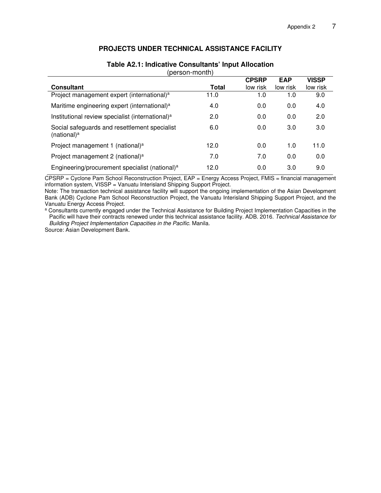### **PROJECTS UNDER TECHNICAL ASSISTANCE FACILITY**

|                                                                          |              | <b>CPSRP</b> | <b>EAP</b> | <b>VISSP</b> |
|--------------------------------------------------------------------------|--------------|--------------|------------|--------------|
| <b>Consultant</b>                                                        | <b>Total</b> | low risk     | low risk   | low risk     |
| Project management expert (international) <sup>a</sup>                   | 11.0         | 1.0          | 1.0        | 9.0          |
| Maritime engineering expert (international) <sup>a</sup>                 | 4.0          | 0.0          | 0.0        | 4.0          |
| Institutional review specialist (international) <sup>a</sup>             | 2.0          | 0.0          | 0.0        | 2.0          |
| Social safeguards and resettlement specialist<br>(national) <sup>a</sup> | 6.0          | 0.0          | 3.0        | 3.0          |
| Project management 1 (national) <sup>a</sup>                             | 12.0         | 0.0          | 1.0        | 11.0         |
| Project management 2 (national) <sup>a</sup>                             | 7.0          | 7.0          | 0.0        | 0.0          |
| Engineering/procurement specialist (national) <sup>a</sup>               | 12.0         | 0.0          | 3.0        | 9.0          |

#### **Table A2.1: Indicative Consultants' Input Allocation**  (person-month)

CPSRP = Cyclone Pam School Reconstruction Project, EAP = Energy Access Project, FMIS = financial management information system, VISSP = Vanuatu Interisland Shipping Support Project.

Note: The transaction technical assistance facility will support the ongoing implementation of the Asian Development Bank (ADB) Cyclone Pam School Reconstruction Project, the Vanuatu Interisland Shipping Support Project, and the Vanuatu Energy Access Project.

<sup>a</sup> Consultants currently engaged under the Technical Assistance for Building Project Implementation Capacities in the Pacific will have their contracts renewed under this technical assistance facility. ADB. 2016. *Technical Assistance for Building Project Implementation Capacities in the Pacific.* Manila.

Source: Asian Development Bank.